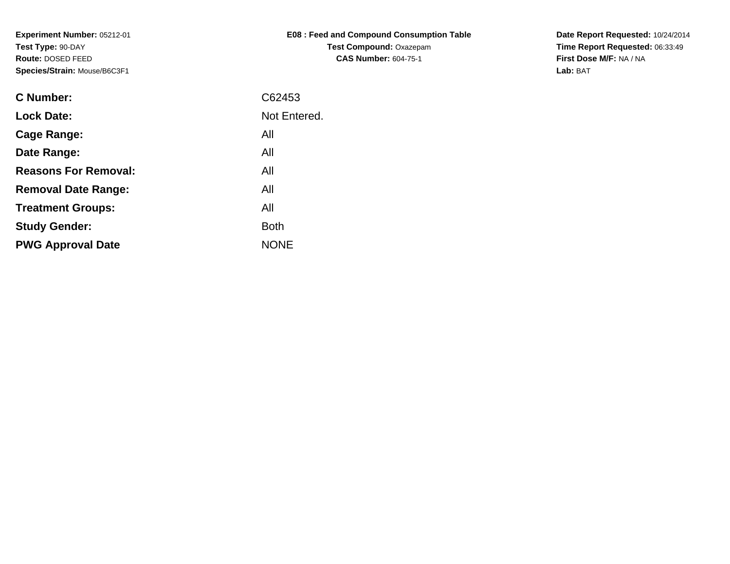| <b>E08: Feed and Compound Consumption Table</b> |
|-------------------------------------------------|
| <b>Test Compound: Oxazepam</b>                  |
| <b>CAS Number: 604-75-1</b>                     |

**Date Report Requested:** 10/24/2014 **Time Report Requested:** 06:33:49**First Dose M/F:** NA / NA**Lab:** BAT

| <b>C</b> Number:            | C62453       |
|-----------------------------|--------------|
| <b>Lock Date:</b>           | Not Entered. |
| Cage Range:                 | All          |
| Date Range:                 | All          |
| <b>Reasons For Removal:</b> | All          |
| <b>Removal Date Range:</b>  | All          |
| <b>Treatment Groups:</b>    | All          |
| <b>Study Gender:</b>        | <b>Both</b>  |
| <b>PWG Approval Date</b>    | <b>NONE</b>  |
|                             |              |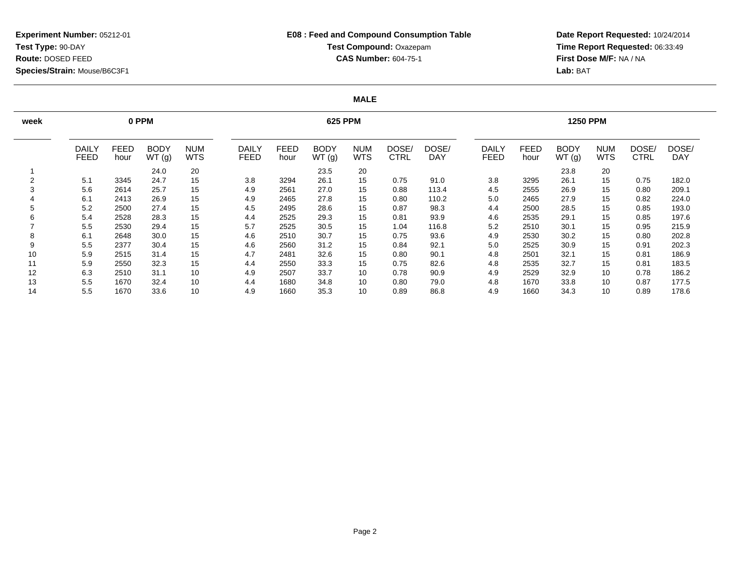## **E08 : Feed and Compound Consumption TableTest Compound:** Oxazepam**CAS Number:** 604-75-1

**Date Report Requested:** 10/24/2014 **Time Report Requested:** 06:33:49**First Dose M/F:** NA / NA**Lab:** BAT

#### **MALE**

| week   |                             |                     | 0 PPM                |                          |                             | <b>625 PPM</b>      |                      |                          |                      |                     |                      |              | <b>1250 PPM</b>      |                          |               |                     |  |  |
|--------|-----------------------------|---------------------|----------------------|--------------------------|-----------------------------|---------------------|----------------------|--------------------------|----------------------|---------------------|----------------------|--------------|----------------------|--------------------------|---------------|---------------------|--|--|
|        | <b>DAILY</b><br><b>FEED</b> | <b>FEED</b><br>hour | <b>BODY</b><br>WT(g) | <b>NUM</b><br><b>WTS</b> | <b>DAILY</b><br><b>FEED</b> | <b>FEED</b><br>hour | <b>BODY</b><br>WT(g) | <b>NUM</b><br><b>WTS</b> | DOSE/<br><b>CTRL</b> | DOSE/<br><b>DAY</b> | DAILY<br><b>FEED</b> | FEED<br>hour | <b>BODY</b><br>WT(g) | <b>NUM</b><br><b>WTS</b> | DOSE/<br>CTRL | DOSE/<br><b>DAY</b> |  |  |
|        |                             |                     | 24.0                 | 20                       |                             |                     | 23.5                 | 20                       |                      |                     |                      |              | 23.8                 | 20                       |               |                     |  |  |
| $\sim$ | 5.1                         | 3345                | 24.7                 | 15                       | 3.8                         | 3294                | 26.1                 | 15                       | 0.75                 | 91.0                | 3.8                  | 3295         | 26.1                 | 15                       | 0.75          | 182.0               |  |  |
| 3      | 5.6                         | 2614                | 25.7                 | 15                       | 4.9                         | 2561                | 27.0                 | 15                       | 0.88                 | 113.4               | 4.5                  | 2555         | 26.9                 | 15                       | 0.80          | 209.1               |  |  |
|        | 6.1                         | 2413                | 26.9                 | 15                       | 4.9                         | 2465                | 27.8                 | 15                       | 0.80                 | 110.2               | 5.0                  | 2465         | 27.9                 | 15                       | 0.82          | 224.0               |  |  |
| 5      | 5.2                         | 2500                | 27.4                 | 15                       | 4.5                         | 2495                | 28.6                 | 15                       | 0.87                 | 98.3                | 4.4                  | 2500         | 28.5                 | 15                       | 0.85          | 193.0               |  |  |
| 6      | 5.4                         | 2528                | 28.3                 | 15                       | 4.4                         | 2525                | 29.3                 | 15                       | 0.81                 | 93.9                | 4.6                  | 2535         | 29.1                 | 15                       | 0.85          | 197.6               |  |  |
|        | 5.5                         | 2530                | 29.4                 | 15                       | 5.7                         | 2525                | 30.5                 | 15                       | 1.04                 | 116.8               | 5.2                  | 2510         | 30.1                 | 15                       | 0.95          | 215.9               |  |  |
| 8      | 6.1                         | 2648                | 30.0                 | 15                       | 4.6                         | 2510                | 30.7                 | 15                       | 0.75                 | 93.6                | 4.9                  | 2530         | 30.2                 | 15                       | 0.80          | 202.8               |  |  |
| 9      | 5.5                         | 2377                | 30.4                 | 15                       | 4.6                         | 2560                | 31.2                 | 15                       | 0.84                 | 92.1                | 5.0                  | 2525         | 30.9                 | 15                       | 0.91          | 202.3               |  |  |
| 10     | 5.9                         | 2515                | 31.4                 | 15                       | 4.7                         | 2481                | 32.6                 | 15                       | 0.80                 | 90.1                | 4.8                  | 2501         | 32.1                 | 15                       | 0.81          | 186.9               |  |  |
| 11     | 5.9                         | 2550                | 32.3                 | 15                       | 4.4                         | 2550                | 33.3                 | 15                       | 0.75                 | 82.6                | 4.8                  | 2535         | 32.7                 | 15                       | 0.81          | 183.5               |  |  |
| 12     | 6.3                         | 2510                | 31.1                 | 10                       | 4.9                         | 2507                | 33.7                 | 10                       | 0.78                 | 90.9                | 4.9                  | 2529         | 32.9                 | 10                       | 0.78          | 186.2               |  |  |
| 13     | 5.5                         | 1670                | 32.4                 | 10                       | 4.4                         | 1680                | 34.8                 | 10                       | 0.80                 | 79.0                | 4.8                  | 1670         | 33.8                 | 10                       | 0.87          | 177.5               |  |  |
| 14     | 5.5                         | 1670                | 33.6                 | 10                       | 4.9                         | 1660                | 35.3                 | 10                       | 0.89                 | 86.8                | 4.9                  | 1660         | 34.3                 | 10                       | 0.89          | 178.6               |  |  |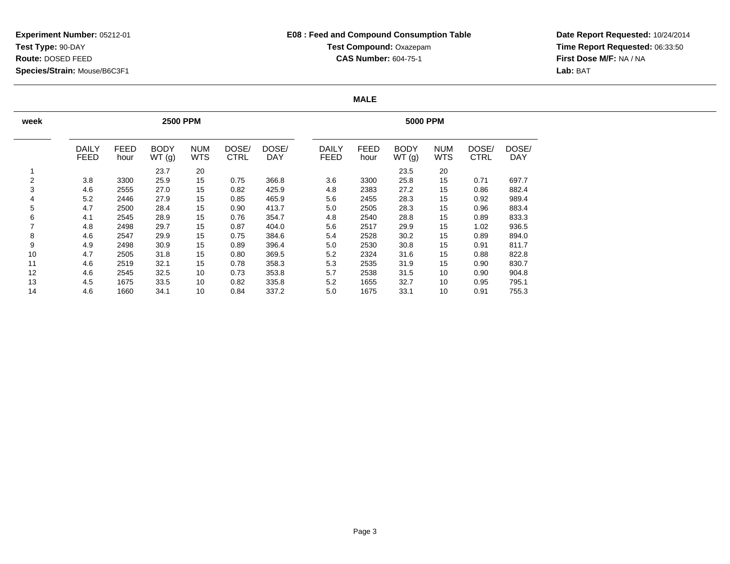## **E08 : Feed and Compound Consumption TableTest Compound:** Oxazepam**CAS Number:** 604-75-1

**Date Report Requested:** 10/24/2014 **Time Report Requested:** 06:33:50**First Dose M/F:** NA / NA**Lab:** BAT

#### **MALE**

| week |                             |                     | <b>2500 PPM</b>      |                          |                      | <b>5000 PPM</b>     |                             |                     |                      |                          |                      |                     |  |
|------|-----------------------------|---------------------|----------------------|--------------------------|----------------------|---------------------|-----------------------------|---------------------|----------------------|--------------------------|----------------------|---------------------|--|
|      | <b>DAILY</b><br><b>FEED</b> | <b>FEED</b><br>hour | <b>BODY</b><br>WT(g) | <b>NUM</b><br><b>WTS</b> | DOSE/<br><b>CTRL</b> | DOSE/<br><b>DAY</b> | <b>DAILY</b><br><b>FEED</b> | <b>FEED</b><br>hour | <b>BODY</b><br>WT(g) | <b>NUM</b><br><b>WTS</b> | DOSE/<br><b>CTRL</b> | DOSE/<br><b>DAY</b> |  |
| 1    |                             |                     | 23.7                 | 20                       |                      |                     |                             |                     | 23.5                 | 20                       |                      |                     |  |
| 2    | 3.8                         | 3300                | 25.9                 | 15                       | 0.75                 | 366.8               | 3.6                         | 3300                | 25.8                 | 15                       | 0.71                 | 697.7               |  |
| 3    | 4.6                         | 2555                | 27.0                 | 15                       | 0.82                 | 425.9               | 4.8                         | 2383                | 27.2                 | 15                       | 0.86                 | 882.4               |  |
| 4    | 5.2                         | 2446                | 27.9                 | 15                       | 0.85                 | 465.9               | 5.6                         | 2455                | 28.3                 | 15                       | 0.92                 | 989.4               |  |
| 5    | 4.7                         | 2500                | 28.4                 | 15                       | 0.90                 | 413.7               | 5.0                         | 2505                | 28.3                 | 15                       | 0.96                 | 883.4               |  |
| 6    | 4.1                         | 2545                | 28.9                 | 15                       | 0.76                 | 354.7               | 4.8                         | 2540                | 28.8                 | 15                       | 0.89                 | 833.3               |  |
| 7    | 4.8                         | 2498                | 29.7                 | 15                       | 0.87                 | 404.0               | 5.6                         | 2517                | 29.9                 | 15                       | 1.02                 | 936.5               |  |
| 8    | 4.6                         | 2547                | 29.9                 | 15                       | 0.75                 | 384.6               | 5.4                         | 2528                | 30.2                 | 15                       | 0.89                 | 894.0               |  |
| 9    | 4.9                         | 2498                | 30.9                 | 15                       | 0.89                 | 396.4               | 5.0                         | 2530                | 30.8                 | 15                       | 0.91                 | 811.7               |  |
| 10   | 4.7                         | 2505                | 31.8                 | 15                       | 0.80                 | 369.5               | 5.2                         | 2324                | 31.6                 | 15                       | 0.88                 | 822.8               |  |
| 11   | 4.6                         | 2519                | 32.1                 | 15                       | 0.78                 | 358.3               | 5.3                         | 2535                | 31.9                 | 15                       | 0.90                 | 830.7               |  |
| 12   | 4.6                         | 2545                | 32.5                 | 10                       | 0.73                 | 353.8               | 5.7                         | 2538                | 31.5                 | 10                       | 0.90                 | 904.8               |  |
| 13   | 4.5                         | 1675                | 33.5                 | 10                       | 0.82                 | 335.8               | 5.2                         | 1655                | 32.7                 | 10                       | 0.95                 | 795.1               |  |
| 14   | 4.6                         | 1660                | 34.1                 | 10                       | 0.84                 | 337.2               | 5.0                         | 1675                | 33.1                 | 10                       | 0.91                 | 755.3               |  |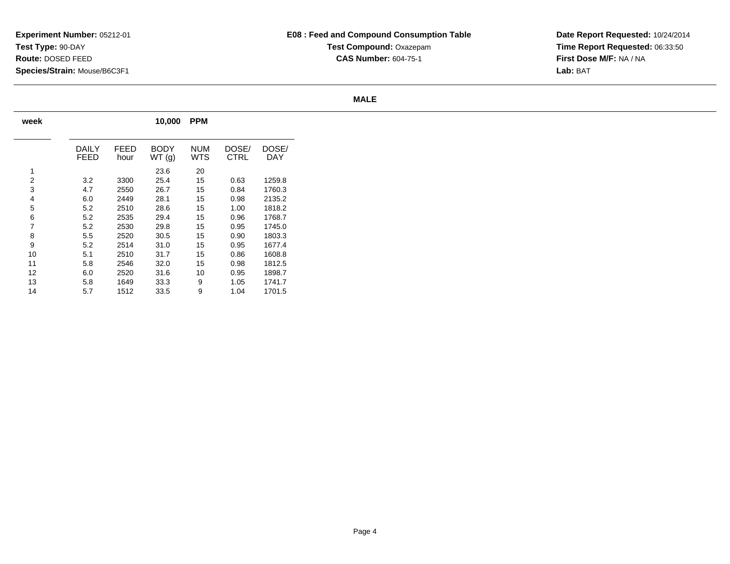## **E08 : Feed and Compound Consumption TableTest Compound:** Oxazepam**CAS Number:** 604-75-1

**Date Report Requested:** 10/24/2014 **Time Report Requested:** 06:33:50**First Dose M/F:** NA / NA**Lab:** BAT

#### **MALE**

| week |               |              | 10,000               | <b>PPM</b>        |               |              |
|------|---------------|--------------|----------------------|-------------------|---------------|--------------|
|      | DAILY<br>FEED | FEED<br>hour | <b>BODY</b><br>WT(g) | <b>NUM</b><br>WTS | DOSE/<br>CTRL | DOSE/<br>DAY |
| 1    |               |              | 23.6                 | 20                |               |              |
| 2    | 3.2           | 3300         | 25.4                 | 15                | 0.63          | 1259.8       |
| 3    | 4.7           | 2550         | 26.7                 | 15                | 0.84          | 1760.3       |
| 4    | 6.0           | 2449         | 28.1                 | 15                | 0.98          | 2135.2       |
| 5    | 5.2           | 2510         | 28.6                 | 15                | 1.00          | 1818.2       |
| 6    | 5.2           | 2535         | 29.4                 | 15                | 0.96          | 1768.7       |
| 7    | 5.2           | 2530         | 29.8                 | 15                | 0.95          | 1745.0       |
| 8    | 5.5           | 2520         | 30.5                 | 15                | 0.90          | 1803.3       |
| 9    | 5.2           | 2514         | 31.0                 | 15                | 0.95          | 1677.4       |
| 10   | 5.1           | 2510         | 31.7                 | 15                | 0.86          | 1608.8       |
| 11   | 5.8           | 2546         | 32.0                 | 15                | 0.98          | 1812.5       |
| 12   | 6.0           | 2520         | 31.6                 | 10                | 0.95          | 1898.7       |
| 13   | 5.8           | 1649         | 33.3                 | 9                 | 1.05          | 1741.7       |
| 14   | 5.7           | 1512         | 33.5                 | 9                 | 1.04          | 1701.5       |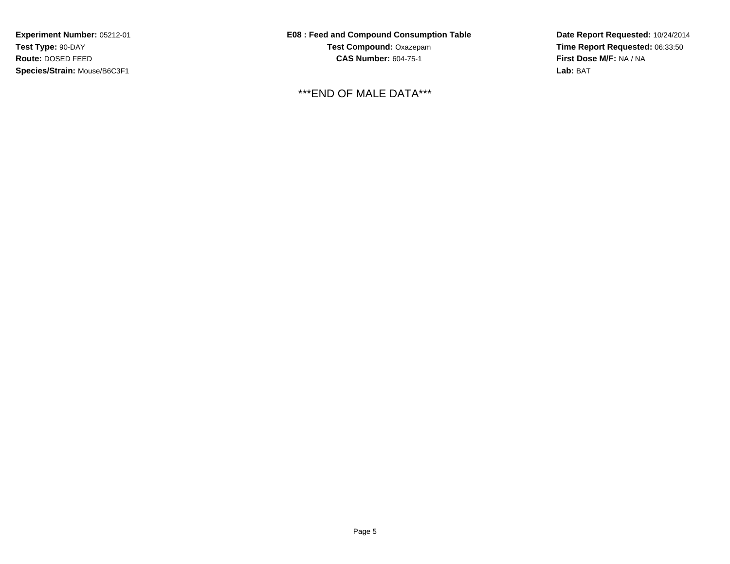**E08 : Feed and Compound Consumption TableTest Compound:** Oxazepam**CAS Number:** 604-75-1

\*\*\*END OF MALE DATA\*\*\*

**Date Report Requested:** 10/24/2014 **Time Report Requested:** 06:33:50**First Dose M/F:** NA / NA**Lab:** BAT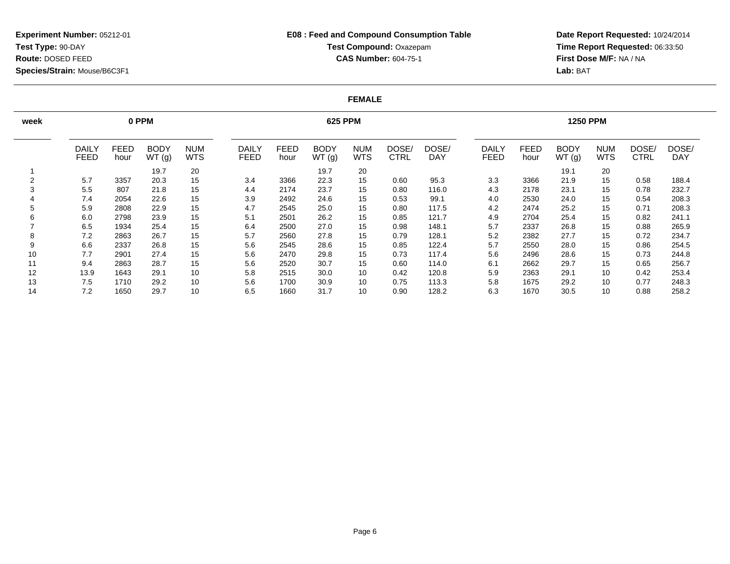## **E08 : Feed and Compound Consumption TableTest Compound:** Oxazepam**CAS Number:** 604-75-1

**Date Report Requested:** 10/24/2014 **Time Report Requested:** 06:33:50**First Dose M/F:** NA / NA**Lab:** BAT

#### **FEMALE**

| week   |                             |                     | 0 PPM                |                          |                             | <b>625 PPM</b>      |                      |                          |                      |                     |                      |              | <b>1250 PPM</b>      |                          |               |                     |  |  |
|--------|-----------------------------|---------------------|----------------------|--------------------------|-----------------------------|---------------------|----------------------|--------------------------|----------------------|---------------------|----------------------|--------------|----------------------|--------------------------|---------------|---------------------|--|--|
|        | <b>DAILY</b><br><b>FEED</b> | <b>FEED</b><br>hour | <b>BODY</b><br>WT(g) | <b>NUM</b><br><b>WTS</b> | <b>DAILY</b><br><b>FEED</b> | <b>FEED</b><br>hour | <b>BODY</b><br>WT(g) | <b>NUM</b><br><b>WTS</b> | DOSE/<br><b>CTRL</b> | DOSE/<br><b>DAY</b> | DAILY<br><b>FEED</b> | FEED<br>hour | <b>BODY</b><br>WT(g) | <b>NUM</b><br><b>WTS</b> | DOSE/<br>CTRL | DOSE/<br><b>DAY</b> |  |  |
|        |                             |                     | 19.7                 | 20                       |                             |                     | 19.7                 | 20                       |                      |                     |                      |              | 19.1                 | 20                       |               |                     |  |  |
| $\sim$ | 5.7                         | 3357                | 20.3                 | 15                       | 3.4                         | 3366                | 22.3                 | 15                       | 0.60                 | 95.3                | 3.3                  | 3366         | 21.9                 | 15                       | 0.58          | 188.4               |  |  |
| 3      | 5.5                         | 807                 | 21.8                 | 15                       | 4.4                         | 2174                | 23.7                 | 15                       | 0.80                 | 116.0               | 4.3                  | 2178         | 23.1                 | 15                       | 0.78          | 232.7               |  |  |
|        | 7.4                         | 2054                | 22.6                 | 15                       | 3.9                         | 2492                | 24.6                 | 15                       | 0.53                 | 99.1                | 4.0                  | 2530         | 24.0                 | 15                       | 0.54          | 208.3               |  |  |
| 5      | 5.9                         | 2808                | 22.9                 | 15                       | 4.7                         | 2545                | 25.0                 | 15                       | 0.80                 | 117.5               | 4.2                  | 2474         | 25.2                 | 15                       | 0.71          | 208.3               |  |  |
| 6      | 6.0                         | 2798                | 23.9                 | 15                       | 5.1                         | 2501                | 26.2                 | 15                       | 0.85                 | 121.7               | 4.9                  | 2704         | 25.4                 | 15                       | 0.82          | 241.1               |  |  |
|        | 6.5                         | 1934                | 25.4                 | 15                       | 6.4                         | 2500                | 27.0                 | 15                       | 0.98                 | 148.1               | 5.7                  | 2337         | 26.8                 | 15                       | 0.88          | 265.9               |  |  |
| 8      | 7.2                         | 2863                | 26.7                 | 15                       | 5.7                         | 2560                | 27.8                 | 15                       | 0.79                 | 128.1               | 5.2                  | 2382         | 27.7                 | 15                       | 0.72          | 234.7               |  |  |
| 9      | 6.6                         | 2337                | 26.8                 | 15                       | 5.6                         | 2545                | 28.6                 | 15                       | 0.85                 | 122.4               | 5.7                  | 2550         | 28.0                 | 15                       | 0.86          | 254.5               |  |  |
| 10     | 7.7                         | 2901                | 27.4                 | 15                       | 5.6                         | 2470                | 29.8                 | 15                       | 0.73                 | 117.4               | 5.6                  | 2496         | 28.6                 | 15                       | 0.73          | 244.8               |  |  |
| 11     | 9.4                         | 2863                | 28.7                 | 15                       | 5.6                         | 2520                | 30.7                 | 15                       | 0.60                 | 114.0               | 6.1                  | 2662         | 29.7                 | 15                       | 0.65          | 256.7               |  |  |
| 12     | 13.9                        | 1643                | 29.1                 | 10                       | 5.8                         | 2515                | 30.0                 | 10                       | 0.42                 | 120.8               | 5.9                  | 2363         | 29.1                 | 10                       | 0.42          | 253.4               |  |  |
| 13     | 7.5                         | 1710                | 29.2                 | 10                       | 5.6                         | 1700                | 30.9                 | 10                       | 0.75                 | 113.3               | 5.8                  | 1675         | 29.2                 | 10                       | 0.77          | 248.3               |  |  |
| 14     | 7.2                         | 1650                | 29.7                 | 10                       | 6.5                         | 1660                | 31.7                 | 10                       | 0.90                 | 128.2               | 6.3                  | 1670         | 30.5                 | 10                       | 0.88          | 258.2               |  |  |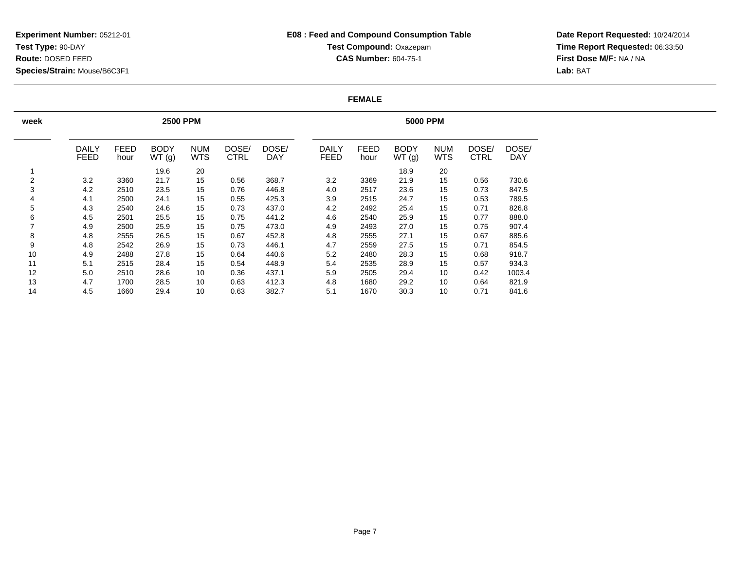## **E08 : Feed and Compound Consumption TableTest Compound:** Oxazepam**CAS Number:** 604-75-1

**Date Report Requested:** 10/24/2014 **Time Report Requested:** 06:33:50**First Dose M/F:** NA / NA**Lab:** BAT

#### **FEMALE**

| week                     |                             |                     | <b>2500 PPM</b>      |                          |                      | <b>5000 PPM</b>     |                             |                     |                      |                          |                      |                     |
|--------------------------|-----------------------------|---------------------|----------------------|--------------------------|----------------------|---------------------|-----------------------------|---------------------|----------------------|--------------------------|----------------------|---------------------|
|                          | <b>DAILY</b><br><b>FEED</b> | <b>FEED</b><br>hour | <b>BODY</b><br>WT(g) | <b>NUM</b><br><b>WTS</b> | DOSE/<br><b>CTRL</b> | DOSE/<br><b>DAY</b> | <b>DAILY</b><br><b>FEED</b> | <b>FEED</b><br>hour | <b>BODY</b><br>WT(g) | <b>NUM</b><br><b>WTS</b> | DOSE/<br><b>CTRL</b> | DOSE/<br><b>DAY</b> |
|                          |                             |                     | 19.6                 | 20                       |                      |                     |                             |                     | 18.9                 | 20                       |                      |                     |
| 2                        | 3.2                         | 3360                | 21.7                 | 15                       | 0.56                 | 368.7               | 3.2                         | 3369                | 21.9                 | 15                       | 0.56                 | 730.6               |
| 3                        | 4.2                         | 2510                | 23.5                 | 15                       | 0.76                 | 446.8               | 4.0                         | 2517                | 23.6                 | 15                       | 0.73                 | 847.5               |
| 4                        | 4.1                         | 2500                | 24.1                 | 15                       | 0.55                 | 425.3               | 3.9                         | 2515                | 24.7                 | 15                       | 0.53                 | 789.5               |
| 5                        | 4.3                         | 2540                | 24.6                 | 15                       | 0.73                 | 437.0               | 4.2                         | 2492                | 25.4                 | 15                       | 0.71                 | 826.8               |
| 6                        | 4.5                         | 2501                | 25.5                 | 15                       | 0.75                 | 441.2               | 4.6                         | 2540                | 25.9                 | 15                       | 0.77                 | 888.0               |
| $\overline{\phantom{a}}$ | 4.9                         | 2500                | 25.9                 | 15                       | 0.75                 | 473.0               | 4.9                         | 2493                | 27.0                 | 15                       | 0.75                 | 907.4               |
| 8                        | 4.8                         | 2555                | 26.5                 | 15                       | 0.67                 | 452.8               | 4.8                         | 2555                | 27.1                 | 15                       | 0.67                 | 885.6               |
| 9                        | 4.8                         | 2542                | 26.9                 | 15                       | 0.73                 | 446.1               | 4.7                         | 2559                | 27.5                 | 15                       | 0.71                 | 854.5               |
| 10                       | 4.9                         | 2488                | 27.8                 | 15                       | 0.64                 | 440.6               | 5.2                         | 2480                | 28.3                 | 15                       | 0.68                 | 918.7               |
| 11                       | 5.1                         | 2515                | 28.4                 | 15                       | 0.54                 | 448.9               | 5.4                         | 2535                | 28.9                 | 15                       | 0.57                 | 934.3               |
| 12                       | 5.0                         | 2510                | 28.6                 | 10                       | 0.36                 | 437.1               | 5.9                         | 2505                | 29.4                 | 10                       | 0.42                 | 1003.4              |
| 13                       | 4.7                         | 1700                | 28.5                 | 10                       | 0.63                 | 412.3               | 4.8                         | 1680                | 29.2                 | 10                       | 0.64                 | 821.9               |
| 14                       | 4.5                         | 1660                | 29.4                 | 10                       | 0.63                 | 382.7               | 5.1                         | 1670                | 30.3                 | 10                       | 0.71                 | 841.6               |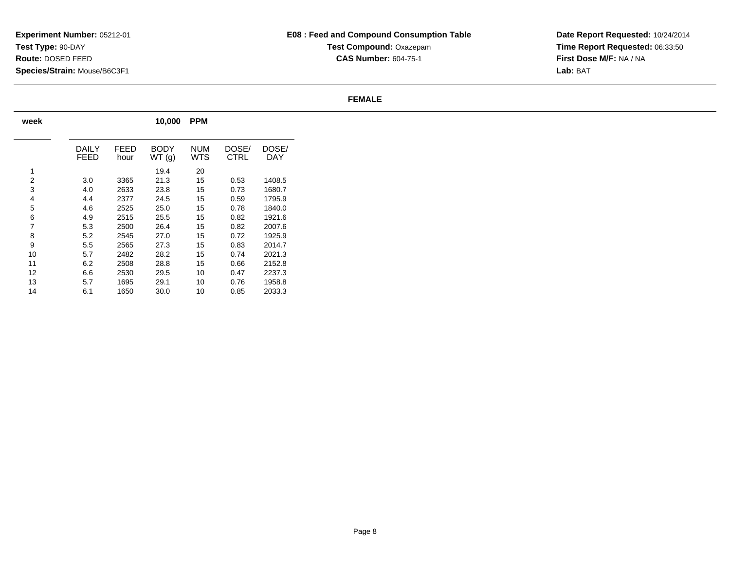## **E08 : Feed and Compound Consumption TableTest Compound:** Oxazepam**CAS Number:** 604-75-1

**Date Report Requested:** 10/24/2014 **Time Report Requested:** 06:33:50**First Dose M/F:** NA / NA**Lab:** BAT

#### **FEMALE**

| week |               |              | 10,000        | <b>PPM</b> |               |              |
|------|---------------|--------------|---------------|------------|---------------|--------------|
|      | DAILY<br>FEED | FEED<br>hour | BODY<br>WT(g) | NUM<br>WTS | DOSE/<br>CTRL | DOSE/<br>DAY |
| 1    |               |              | 19.4          | 20         |               |              |
| 2    | 3.0           | 3365         | 21.3          | 15         | 0.53          | 1408.5       |
| 3    | 4.0           | 2633         | 23.8          | 15         | 0.73          | 1680.7       |
| 4    | 4.4           | 2377         | 24.5          | 15         | 0.59          | 1795.9       |
| 5    | 4.6           | 2525         | 25.0          | 15         | 0.78          | 1840.0       |
| 6    | 4.9           | 2515         | 25.5          | 15         | 0.82          | 1921.6       |
| 7    | 5.3           | 2500         | 26.4          | 15         | 0.82          | 2007.6       |
| 8    | 5.2           | 2545         | 27.0          | 15         | 0.72          | 1925.9       |
| 9    | 5.5           | 2565         | 27.3          | 15         | 0.83          | 2014.7       |
| 10   | 5.7           | 2482         | 28.2          | 15         | 0.74          | 2021.3       |
| 11   | 6.2           | 2508         | 28.8          | 15         | 0.66          | 2152.8       |
| 12   | 6.6           | 2530         | 29.5          | 10         | 0.47          | 2237.3       |
| 13   | 5.7           | 1695         | 29.1          | 10         | 0.76          | 1958.8       |
| 14   | 6.1           | 1650         | 30.0          | 10         | 0.85          | 2033.3       |